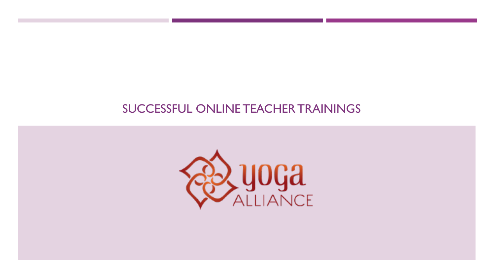#### SUCCESSFUL ONLINE TEACHER TRAININGS

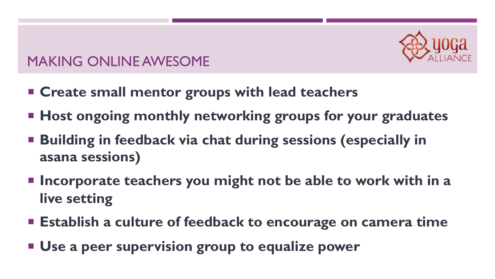

- ¡ **Create small mentor groups with lead teachers**
- **Host ongoing monthly networking groups for your graduates**
- Building in feedback via chat during sessions (especially in **asana sessions)**
- Incorporate teachers you might not be able to work with in a **live setting**
- **Establish a culture of feedback to encourage on camera time**
- ¡ **Use a peer supervision group to equalize power**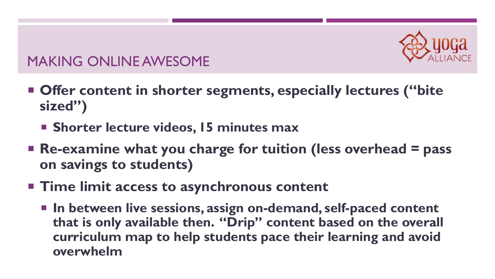

- Offer content in shorter segments, especially lectures ("bite" **sized")**
	- ¡ **Shorter lecture videos, 15 minutes max**
- **Re-examine what you charge for tuition (less overhead = pass on savings to students)**
- **Time limit access to asynchronous content** 
	- In between live sessions, assign on-demand, self-paced content **that is only available then. "Drip" content based on the overall curriculum map to help students pace their learning and avoid overwhelm**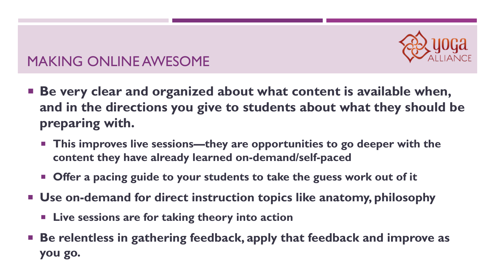

- Be very clear and organized about what content is available when, **and in the directions you give to students about what they should be preparing with.**
	- This improves live sessions—they are opportunities to go deeper with the **content they have already learned on-demand/self-paced**
	- Offer a pacing guide to your students to take the guess work out of it
- ¡ **Use on-demand for direct instruction topics like anatomy, philosophy**
	- ¡ **Live sessions are for taking theory into action**
- Be relentless in gathering feedback, apply that feedback and improve as **you go.**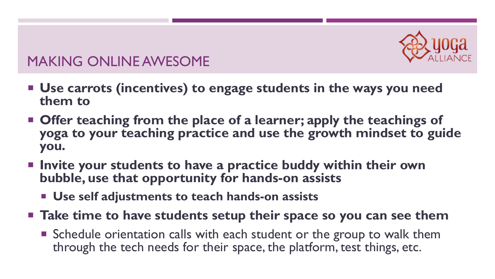

- Use carrots (incentives) to engage students in the ways you need **them to**
- Offer teaching from the place of a learner; apply the teachings of **yoga to your teaching practice and use the growth mindset to guide you.**
- ¡ **Invite your students to have a practice buddy within their own bubble, use that opportunity for hands-on assists**
	- ¡ **Use self adjustments to teach hands-on assists**
- Take time to have students setup their space so you can see them
	- Schedule orientation calls with each student or the group to walk them through the tech needs for their space, the platform, test things, etc.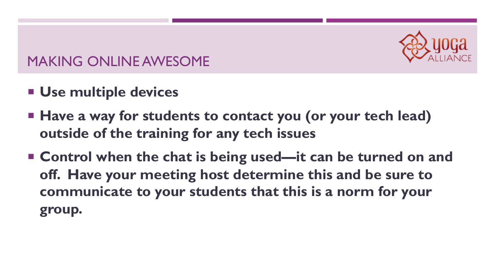

- ¡ **Use multiple devices**
- ¡ **Have a way for students to contact you (or your tech lead) outside of the training for any tech issues**
- Control when the chat is being used—it can be turned on and **off. Have your meeting host determine this and be sure to communicate to your students that this is a norm for your group.**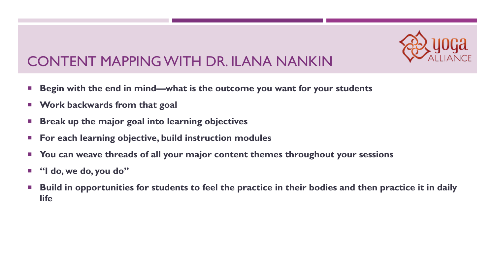

#### CONTENT MAPPING WITH DR. ILANA NANKIN

- Begin with the end in mind—what is the outcome you want for your students
- ¡ **Work backwards from that goal**
- ¡ **Break up the major goal into learning objectives**
- ¡ **For each learning objective, build instruction modules**
- ¡ **You can weave threads of all your major content themes throughout your sessions**
- ¡ **"I do, we do, you do"**
- Build in opportunities for students to feel the practice in their bodies and then practice it in daily **life**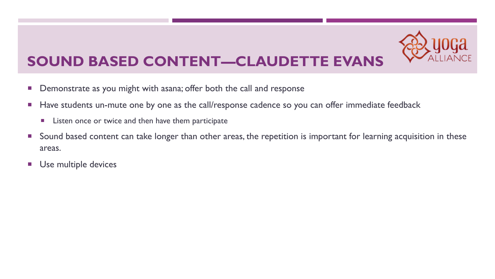

# **SOUND BASED CONTENT—CLAUDETTE EVANS**

- **•** Demonstrate as you might with asana; offer both the call and response
- Have students un-mute one by one as the call/response cadence so you can offer immediate feedback
	- Listen once or twice and then have them participate
- Sound based content can take longer than other areas, the repetition is important for learning acquisition in these areas.
- **Use multiple devices**